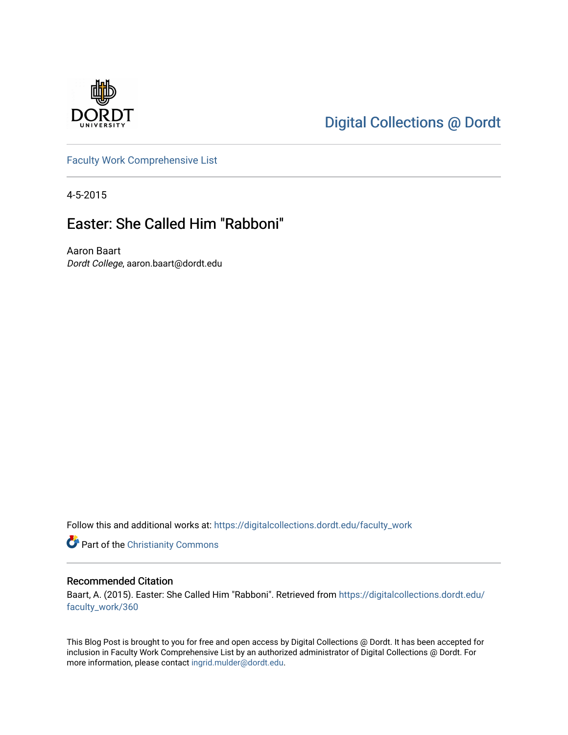

## [Digital Collections @ Dordt](https://digitalcollections.dordt.edu/)

[Faculty Work Comprehensive List](https://digitalcollections.dordt.edu/faculty_work)

4-5-2015

## Easter: She Called Him "Rabboni"

Aaron Baart Dordt College, aaron.baart@dordt.edu

Follow this and additional works at: [https://digitalcollections.dordt.edu/faculty\\_work](https://digitalcollections.dordt.edu/faculty_work?utm_source=digitalcollections.dordt.edu%2Ffaculty_work%2F360&utm_medium=PDF&utm_campaign=PDFCoverPages) 

Part of the [Christianity Commons](http://network.bepress.com/hgg/discipline/1181?utm_source=digitalcollections.dordt.edu%2Ffaculty_work%2F360&utm_medium=PDF&utm_campaign=PDFCoverPages) 

#### Recommended Citation

Baart, A. (2015). Easter: She Called Him "Rabboni". Retrieved from [https://digitalcollections.dordt.edu/](https://digitalcollections.dordt.edu/faculty_work/360?utm_source=digitalcollections.dordt.edu%2Ffaculty_work%2F360&utm_medium=PDF&utm_campaign=PDFCoverPages) [faculty\\_work/360](https://digitalcollections.dordt.edu/faculty_work/360?utm_source=digitalcollections.dordt.edu%2Ffaculty_work%2F360&utm_medium=PDF&utm_campaign=PDFCoverPages)

This Blog Post is brought to you for free and open access by Digital Collections @ Dordt. It has been accepted for inclusion in Faculty Work Comprehensive List by an authorized administrator of Digital Collections @ Dordt. For more information, please contact [ingrid.mulder@dordt.edu.](mailto:ingrid.mulder@dordt.edu)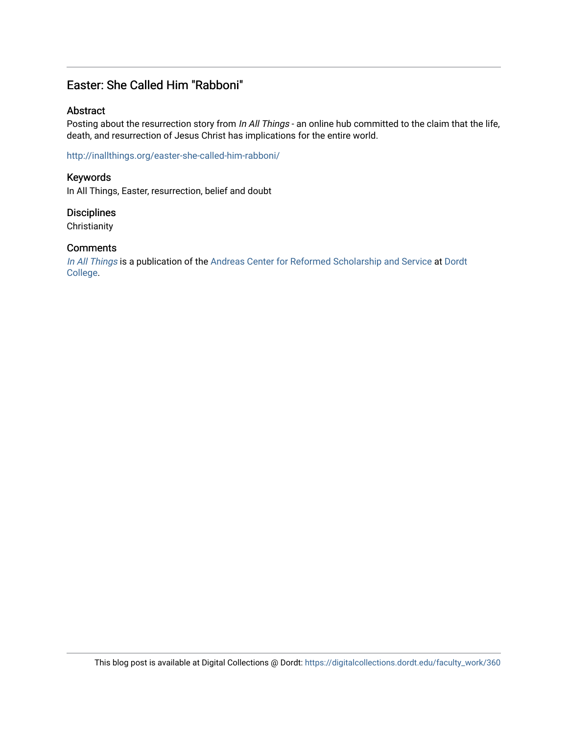### Easter: She Called Him "Rabboni"

#### Abstract

Posting about the resurrection story from In All Things - an online hub committed to the claim that the life, death, and resurrection of Jesus Christ has implications for the entire world.

<http://inallthings.org/easter-she-called-him-rabboni/>

#### Keywords

In All Things, Easter, resurrection, belief and doubt

#### **Disciplines**

**Christianity** 

#### **Comments**

[In All Things](http://inallthings.org/) is a publication of the [Andreas Center for Reformed Scholarship and Service](http://www.dordt.edu/services_support/andreas_center/) at Dordt [College](http://www.dordt.edu/).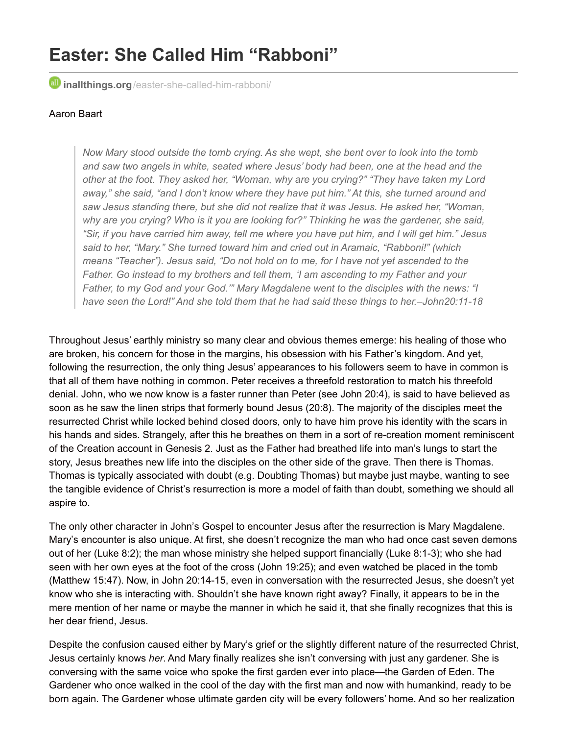# **Easter: She Called Him "Rabboni"**

**inallthings.org**[/easter-she-called-him-rabboni/](http://inallthings.org/easter-she-called-him-rabboni/)

#### Aaron Baart

*Now Mary stood outside the tomb crying. As she wept, she bent over to look into the tomb and saw two angels in white, seated where Jesus' body had been, one at the head and the other at the foot. They asked her, "Woman, why are you crying?" "They have taken my Lord away," she said, "and I don't know where they have put him." At this, she turned around and saw Jesus standing there, but she did not realize that it was Jesus. He asked her, "Woman, why are you crying? Who is it you are looking for?" Thinking he was the gardener, she said,* "Sir, if you have carried him away, tell me where you have put him, and I will get him." Jesus *said to her, "Mary." She turned toward him and cried out in Aramaic, "Rabboni!" (which means "Teacher"). Jesus said, "Do not hold on to me, for I have not yet ascended to the Father. Go instead to my brothers and tell them, 'I am ascending to my Father and your Father, to my God and your God.'" Mary Magdalene went to the disciples with the news: "I have seen the Lord!" And she told them that he had said these things to her.–John20:11-18*

Throughout Jesus' earthly ministry so many clear and obvious themes emerge: his healing of those who are broken, his concern for those in the margins, his obsession with his Father's kingdom. And yet, following the resurrection, the only thing Jesus' appearances to his followers seem to have in common is that all of them have nothing in common. Peter receives a threefold restoration to match his threefold denial. John, who we now know is a faster runner than Peter (see John 20:4), is said to have believed as soon as he saw the linen strips that formerly bound Jesus (20:8). The majority of the disciples meet the resurrected Christ while locked behind closed doors, only to have him prove his identity with the scars in his hands and sides. Strangely, after this he breathes on them in a sort of re-creation moment reminiscent of the Creation account in Genesis 2. Just as the Father had breathed life into man's lungs to start the story, Jesus breathes new life into the disciples on the other side of the grave. Then there is Thomas. Thomas is typically associated with doubt (e.g. Doubting Thomas) but maybe just maybe, wanting to see the tangible evidence of Christ's resurrection is more a model of faith than doubt, something we should all aspire to.

The only other character in John's Gospel to encounter Jesus after the resurrection is Mary Magdalene. Mary's encounter is also unique. At first, she doesn't recognize the man who had once cast seven demons out of her (Luke 8:2); the man whose ministry she helped support financially (Luke 8:1-3); who she had seen with her own eyes at the foot of the cross (John 19:25); and even watched be placed in the tomb (Matthew 15:47). Now, in John 20:14-15, even in conversation with the resurrected Jesus, she doesn't yet know who she is interacting with. Shouldn't she have known right away? Finally, it appears to be in the mere mention of her name or maybe the manner in which he said it, that she finally recognizes that this is her dear friend, Jesus.

Despite the confusion caused either by Mary's grief or the slightly different nature of the resurrected Christ, Jesus certainly knows *her*. And Mary finally realizes she isn't conversing with just any gardener. She is conversing with the same voice who spoke the first garden ever into place—the Garden of Eden. The Gardener who once walked in the cool of the day with the first man and now with humankind, ready to be born again. The Gardener whose ultimate garden city will be every followers' home. And so her realization